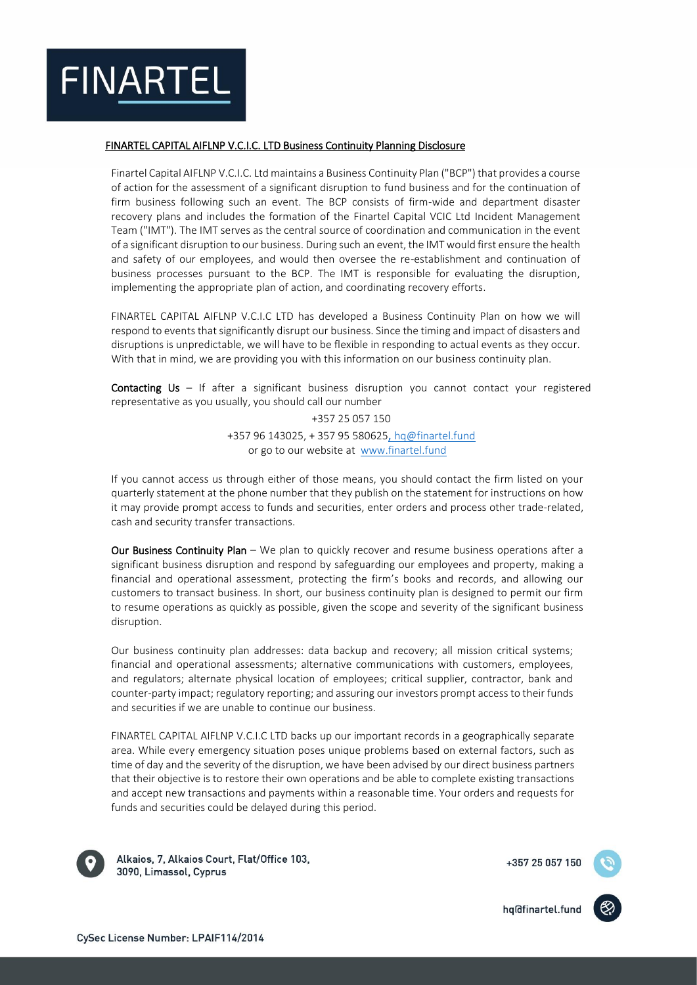

## FINARTEL CAPITAL AIFLNP V.C.I.C. LTD Business Continuity Planning Disclosure

Finartel Capital AIFLNP V.C.I.C. Ltd maintains a Business Continuity Plan ("BCP") that provides a course of action for the assessment of a significant disruption to fund business and for the continuation of firm business following such an event. The BCP consists of firm-wide and department disaster recovery plans and includes the formation of the Finartel Capital VCIC Ltd Incident Management Team ("IMT"). The IMT serves as the central source of coordination and communication in the event of a significant disruption to our business. During such an event, the IMT would first ensure the health and safety of our employees, and would then oversee the re-establishment and continuation of business processes pursuant to the BCP. The IMT is responsible for evaluating the disruption, implementing the appropriate plan of action, and coordinating recovery efforts.

FINARTEL CAPITAL AIFLNP V.C.I.C LTD has developed a Business Continuity Plan on how we will respond to events that significantly disrupt our business. Since the timing and impact of disasters and disruptions is unpredictable, we will have to be flexible in responding to actual events as they occur. With that in mind, we are providing you with this information on our business continuity plan.

**Contacting Us** – If after a significant business disruption you cannot contact your registered representative as you usually, you should call our number

> +357 25 057 150 +357 96 143025, + 357 95 580625, hq@finartel.fund or go to our website at [www.finartel.fund](http://www.finartel.fund/)

If you cannot access us through either of those means, you should contact the firm listed on your quarterly statement at the phone number that they publish on the statement for instructions on how it may provide prompt access to funds and securities, enter orders and process other trade-related, cash and security transfer transactions.

Our Business Continuity Plan - We plan to quickly recover and resume business operations after a significant business disruption and respond by safeguarding our employees and property, making a financial and operational assessment, protecting the firm's books and records, and allowing our customers to transact business. In short, our business continuity plan is designed to permit our firm to resume operations as quickly as possible, given the scope and severity of the significant business disruption.

Our business continuity plan addresses: data backup and recovery; all mission critical systems; financial and operational assessments; alternative communications with customers, employees, and regulators; alternate physical location of employees; critical supplier, contractor, bank and counter-party impact; regulatory reporting; and assuring our investors prompt access to their funds and securities if we are unable to continue our business.

FINARTEL CAPITAL AIFLNP V.C.I.C LTD backs up our important records in a geographically separate area. While every emergency situation poses unique problems based on external factors, such as time of day and the severity of the disruption, we have been advised by our direct business partners that their objective is to restore their own operations and be able to complete existing transactions and accept new transactions and payments within a reasonable time. Your orders and requests for funds and securities could be delayed during this period.



Alkaios, 7, Alkaios Court, Flat/Office 103, 3090, Limassol, Cyprus

+357 25 057 150

hq@finartel.fund